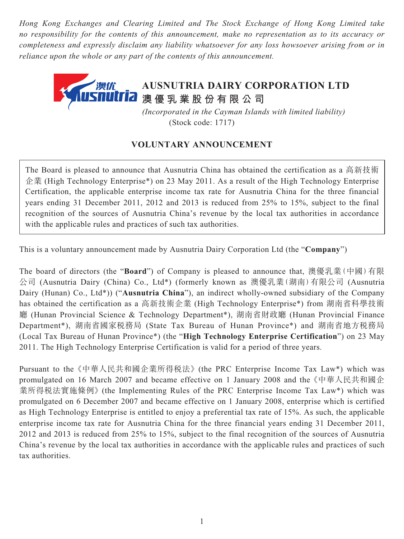*Hong Kong Exchanges and Clearing Limited and The Stock Exchange of Hong Kong Limited take no responsibility for the contents of this announcement, make no representation as to its accuracy or completeness and expressly disclaim any liability whatsoever for any loss howsoever arising from or in reliance upon the whole or any part of the contents of this announcement.*



(Stock code: 1717)

## **VOLUNTARY ANNOUNCEMENT**

The Board is pleased to announce that Ausnutria China has obtained the certification as a 高新技術 企業 (High Technology Enterprise\*) on 23 May 2011. As a result of the High Technology Enterprise Certification, the applicable enterprise income tax rate for Ausnutria China for the three financial years ending 31 December 2011, 2012 and 2013 is reduced from 25% to 15%, subject to the final recognition of the sources of Ausnutria China's revenue by the local tax authorities in accordance with the applicable rules and practices of such tax authorities.

This is a voluntary announcement made by Ausnutria Dairy Corporation Ltd (the "**Company**")

The board of directors (the "**Board**") of Company is pleased to announce that, 澳優乳業(中國)有限 公司 (Ausnutria Dairy (China) Co., Ltd\*) (formerly known as 澳優乳業(湖南)有限公司 (Ausnutria Dairy (Hunan) Co., Ltd\*)) ("**Ausnutria China**"), an indirect wholly-owned subsidiary of the Company has obtained the certification as a 高新技術企業 (High Technology Enterprise\*) from 湖南省科學技術 廳 (Hunan Provincial Science & Technology Department\*), 湖南省財政廳 (Hunan Provincial Finance Department\*), 湖南省國家稅務局 (State Tax Bureau of Hunan Province\*) and 湖南省地方稅務局 (Local Tax Bureau of Hunan Province\*) (the "**High Technology Enterprise Certification**") on 23 May 2011. The High Technology Enterprise Certification is valid for a period of three years.

Pursuant to the 《中華人民共和國企業所得稅法》 (the PRC Enterprise Income Tax Law\*) which was promulgated on 16 March 2007 and became effective on 1 January 2008 and the 《中華人民共和國企 業所得稅法實施條例》 (the Implementing Rules of the PRC Enterprise Income Tax Law\*) which was promulgated on 6 December 2007 and became effective on 1 January 2008, enterprise which is certified as High Technology Enterprise is entitled to enjoy a preferential tax rate of 15%. As such, the applicable enterprise income tax rate for Ausnutria China for the three financial years ending 31 December 2011, 2012 and 2013 is reduced from 25% to 15%, subject to the final recognition of the sources of Ausnutria China's revenue by the local tax authorities in accordance with the applicable rules and practices of such tax authorities.